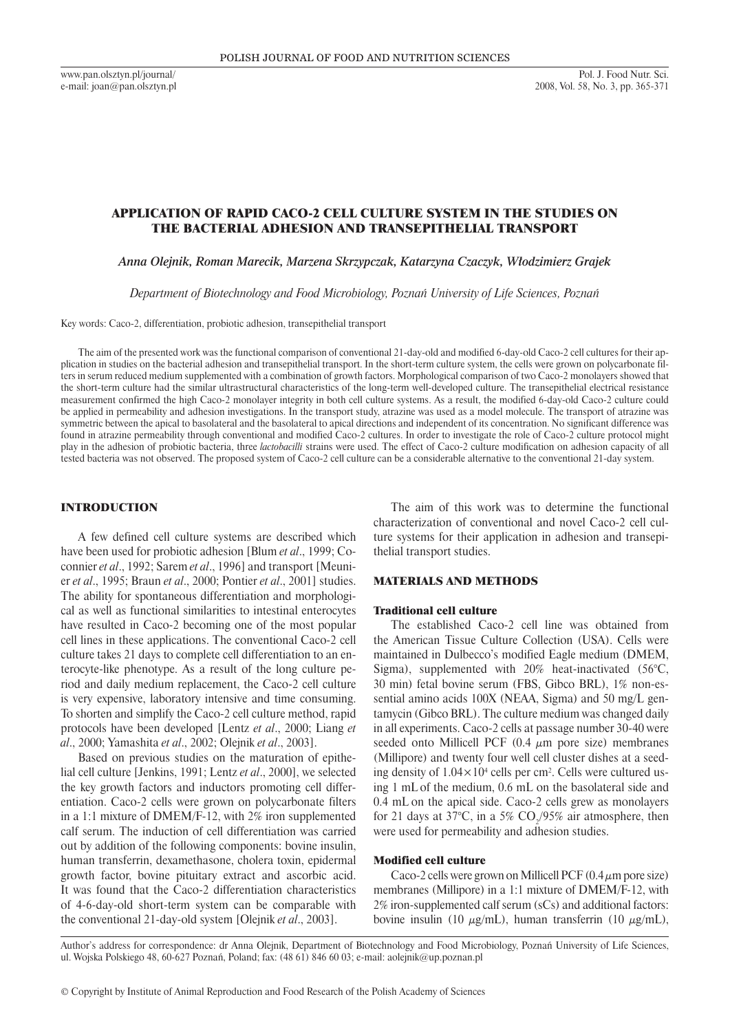www.pan.olsztyn.pl/journal/ e-mail: joan@pan.olsztyn.pl

# Application of rapid Caco-2 cell culture system in the studies on the bacterial adhesion and transepithelial transport

*Anna Olejnik, Roman Marecik, Marzena Skrzypczak, Katarzyna Czaczyk, Włodzimierz Grajek*

*Department of Biotechnology and Food Microbiology, Poznań University of Life Sciences, Poznań*

Key words: Caco-2, differentiation, probiotic adhesion, transepithelial transport

The aim of the presented work was the functional comparison of conventional 21-day-old and modified 6-day-old Caco-2 cell cultures for their application in studies on the bacterial adhesion and transepithelial transport. In the short-term culture system, the cells were grown on polycarbonate filters in serum reduced medium supplemented with a combination of growth factors. Morphological comparison of two Caco-2 monolayers showed that the short-term culture had the similar ultrastructural characteristics of the long-term well-developed culture. The transepithelial electrical resistance measurement confirmed the high Caco-2 monolayer integrity in both cell culture systems. As a result, the modified 6-day-old Caco-2 culture could be applied in permeability and adhesion investigations. In the transport study, atrazine was used as a model molecule. The transport of atrazine was symmetric between the apical to basolateral and the basolateral to apical directions and independent of its concentration. No significant difference was found in atrazine permeability through conventional and modified Caco-2 cultures. In order to investigate the role of Caco-2 culture protocol might play in the adhesion of probiotic bacteria, three *lactobacilli* strains were used. The effect of Caco-2 culture modification on adhesion capacity of all tested bacteria was not observed. The proposed system of Caco-2 cell culture can be a considerable alternative to the conventional 21-day system.

# INTRODUCTION

A few defined cell culture systems are described which have been used for probiotic adhesion [Blum *et al*., 1999; Coconnier *et al*., 1992; Sarem *et al*., 1996] and transport [Meunier *et al*., 1995; Braun *et al*., 2000; Pontier *et al*., 2001] studies. The ability for spontaneous differentiation and morphological as well as functional similarities to intestinal enterocytes have resulted in Caco-2 becoming one of the most popular cell lines in these applications. The conventional Caco-2 cell culture takes 21 days to complete cell differentiation to an enterocyte-like phenotype. As a result of the long culture period and daily medium replacement, the Caco-2 cell culture is very expensive, laboratory intensive and time consuming. To shorten and simplify the Caco-2 cell culture method, rapid protocols have been developed [Lentz *et al*., 2000; Liang *et al*., 2000; Yamashita *et al*., 2002; Olejnik *et al*., 2003].

Based on previous studies on the maturation of epithelial cell culture [Jenkins, 1991; Lentz *et al*., 2000], we selected the key growth factors and inductors promoting cell differentiation. Caco-2 cells were grown on polycarbonate filters in a 1:1 mixture of DMEM/F-12, with 2% iron supplemented calf serum. The induction of cell differentiation was carried out by addition of the following components: bovine insulin, human transferrin, dexamethasone, cholera toxin, epidermal growth factor, bovine pituitary extract and ascorbic acid. It was found that the Caco-2 differentiation characteristics of 4-6-day-old short-term system can be comparable with the conventional 21-day-old system [Olejnik *et al*., 2003].

The aim of this work was to determine the functional characterization of conventional and novel Caco-2 cell culture systems for their application in adhesion and transepithelial transport studies.

### MATERIALS AND METHODS

# Traditional cell culture

The established Caco-2 cell line was obtained from the American Tissue Culture Collection (USA). Cells were maintained in Dulbecco's modified Eagle medium (DMEM, Sigma), supplemented with 20% heat-inactivated (56°C, 30 min) fetal bovine serum (FBS, Gibco BRL), 1% non-essential amino acids 100X (NEAA, Sigma) and 50 mg/L gentamycin (Gibco BRL). The culture medium was changed daily in all experiments. Caco-2 cells at passage number 30-40 were seeded onto Millicell PCF  $(0.4 \mu m)$  pore size) membranes (Millipore) and twenty four well cell cluster dishes at a seeding density of  $1.04 \times 10^4$  cells per cm<sup>2</sup>. Cells were cultured using 1 mL of the medium, 0.6 mL on the basolateral side and 0.4 mL on the apical side. Caco-2 cells grew as monolayers for 21 days at 37°C, in a 5%  $CO_2/95\%$  air atmosphere, then were used for permeability and adhesion studies.

# Modified cell culture

Caco-2 cells were grown on Millicell PCF  $(0.4 \mu m)$  pore size) membranes (Millipore) in a 1:1 mixture of DMEM/F-12, with 2% iron-supplemented calf serum (sCs) and additional factors: bovine insulin (10  $\mu$ g/mL), human transferrin (10  $\mu$ g/mL),

Author's address for correspondence: dr Anna Olejnik, Department of Biotechnology and Food Microbiology, Poznań University of Life Sciences, ul. Wojska Polskiego 48, 60-627 Poznań, Poland; fax: (48 61) 846 60 03; e-mail: aolejnik@up.poznan.pl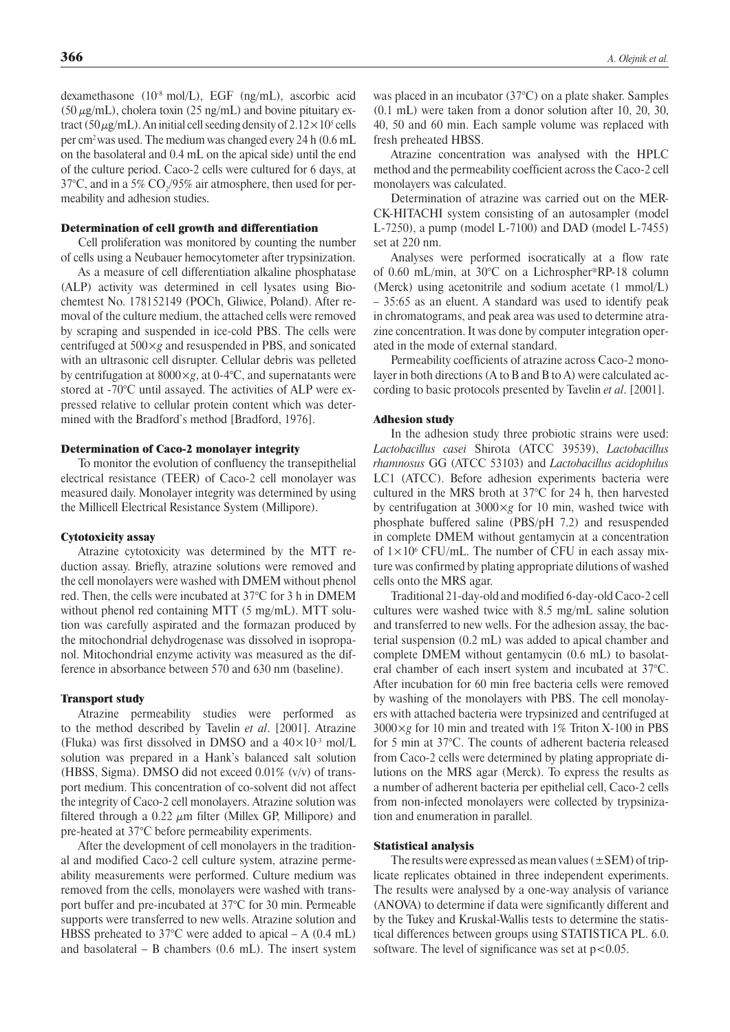dexamethasone (10-8 mol/L), EGF (ng/mL), ascorbic acid  $(50 \,\mu\text{g/mL})$ , cholera toxin  $(25 \,\text{ng/mL})$  and bovine pituitary extract (50  $\mu$ g/mL). An initial cell seeding density of 2.12 × 10<sup>5</sup> cells per cm2 was used. The medium was changed every 24 h (0.6 mL on the basolateral and 0.4 mL on the apical side) until the end of the culture period. Caco-2 cells were cultured for 6 days, at 37°C, and in a 5% CO<sub>2</sub>/95% air atmosphere, then used for permeability and adhesion studies.

#### Determination of cell growth and differentiation

Cell proliferation was monitored by counting the number of cells using a Neubauer hemocytometer after trypsinization.

As a measure of cell differentiation alkaline phosphatase (ALP) activity was determined in cell lysates using Biochemtest No. 178152149 (POCh, Gliwice, Poland). After removal of the culture medium, the attached cells were removed by scraping and suspended in ice-cold PBS. The cells were centrifuged at 500×*g* and resuspended in PBS, and sonicated with an ultrasonic cell disrupter. Cellular debris was pelleted by centrifugation at 8000×*g*, at 0-4°C, and supernatants were stored at -70°C until assayed. The activities of ALP were expressed relative to cellular protein content which was determined with the Bradford's method [Bradford, 1976].

#### Determination of Caco-2 monolayer integrity

To monitor the evolution of confluency the transepithelial electrical resistance (TEER) of Caco-2 cell monolayer was measured daily. Monolayer integrity was determined by using the Millicell Electrical Resistance System (Millipore).

#### Cytotoxicity assay

Atrazine cytotoxicity was determined by the MTT reduction assay. Briefly, atrazine solutions were removed and the cell monolayers were washed with DMEM without phenol red. Then, the cells were incubated at 37°C for 3 h in DMEM without phenol red containing MTT (5 mg/mL). MTT solution was carefully aspirated and the formazan produced by the mitochondrial dehydrogenase was dissolved in isopropanol. Mitochondrial enzyme activity was measured as the difference in absorbance between 570 and 630 nm (baseline).

#### Transport study

Atrazine permeability studies were performed as to the method described by Tavelin *et al*. [2001]. Atrazine (Fluka) was first dissolved in DMSO and a  $40 \times 10^{-3}$  mol/L solution was prepared in a Hank's balanced salt solution (HBSS, Sigma). DMSO did not exceed 0.01% (v/v) of transport medium. This concentration of co-solvent did not affect the integrity of Caco-2 cell monolayers. Atrazine solution was filtered through a 0.22  $\mu$ m filter (Millex GP, Millipore) and pre-heated at 37°C before permeability experiments.

After the development of cell monolayers in the traditional and modified Caco-2 cell culture system, atrazine permeability measurements were performed. Culture medium was removed from the cells, monolayers were washed with transport buffer and pre-incubated at 37°C for 30 min. Permeable supports were transferred to new wells. Atrazine solution and HBSS preheated to 37 $\degree$ C were added to apical – A (0.4 mL) and basolateral – B chambers (0.6 mL). The insert system was placed in an incubator (37°C) on a plate shaker. Samples (0.1 mL) were taken from a donor solution after 10, 20, 30, 40, 50 and 60 min. Each sample volume was replaced with fresh preheated HBSS.

Atrazine concentration was analysed with the HPLC method and the permeability coefficient across the Caco-2 cell monolayers was calculated.

Determination of atrazine was carried out on the MER-CK-HITACHI system consisting of an autosampler (model L-7250), a pump (model L-7100) and DAD (model L-7455) set at 220 nm.

Analyses were performed isocratically at a flow rate of 0.60 mL/min, at 30°C on a Lichrospher®RP-18 column (Merck) using acetonitrile and sodium acetate (1 mmol/L) – 35:65 as an eluent. A standard was used to identify peak in chromatograms, and peak area was used to determine atrazine concentration. It was done by computer integration operated in the mode of external standard.

Permeability coefficients of atrazine across Caco-2 monolayer in both directions (A to B and B to A) were calculated according to basic protocols presented by Tavelin *et al*. [2001].

#### Adhesion study

In the adhesion study three probiotic strains were used: *Lactobacillus casei* Shirota (ATCC 39539), *Lactobacillus rhamnosus* GG (ATCC 53103) and *Lactobacillus acidophilus* LC1 (ATCC). Before adhesion experiments bacteria were cultured in the MRS broth at 37°C for 24 h, then harvested by centrifugation at 3000×*g* for 10 min, washed twice with phosphate buffered saline (PBS/pH 7.2) and resuspended in complete DMEM without gentamycin at a concentration of  $1 \times 10^6$  CFU/mL. The number of CFU in each assay mixture was confirmed by plating appropriate dilutions of washed cells onto the MRS agar.

Traditional 21-day-old and modified 6-day-old Caco-2 cell cultures were washed twice with 8.5 mg/mL saline solution and transferred to new wells. For the adhesion assay, the bacterial suspension (0.2 mL) was added to apical chamber and complete DMEM without gentamycin (0.6 mL) to basolateral chamber of each insert system and incubated at 37°C. After incubation for 60 min free bacteria cells were removed by washing of the monolayers with PBS. The cell monolayers with attached bacteria were trypsinized and centrifuged at 3000×*g* for 10 min and treated with 1% Triton X-100 in PBS for 5 min at 37°C. The counts of adherent bacteria released from Caco-2 cells were determined by plating appropriate dilutions on the MRS agar (Merck). To express the results as a number of adherent bacteria per epithelial cell, Caco-2 cells from non-infected monolayers were collected by trypsinization and enumeration in parallel.

#### Statistical analysis

The results were expressed as mean values ( $\pm$ SEM) of triplicate replicates obtained in three independent experiments. The results were analysed by a one-way analysis of variance (ANOVA) to determine if data were significantly different and by the Tukey and Kruskal-Wallis tests to determine the statistical differences between groups using STATISTICA PL. 6.0. software. The level of significance was set at  $p < 0.05$ .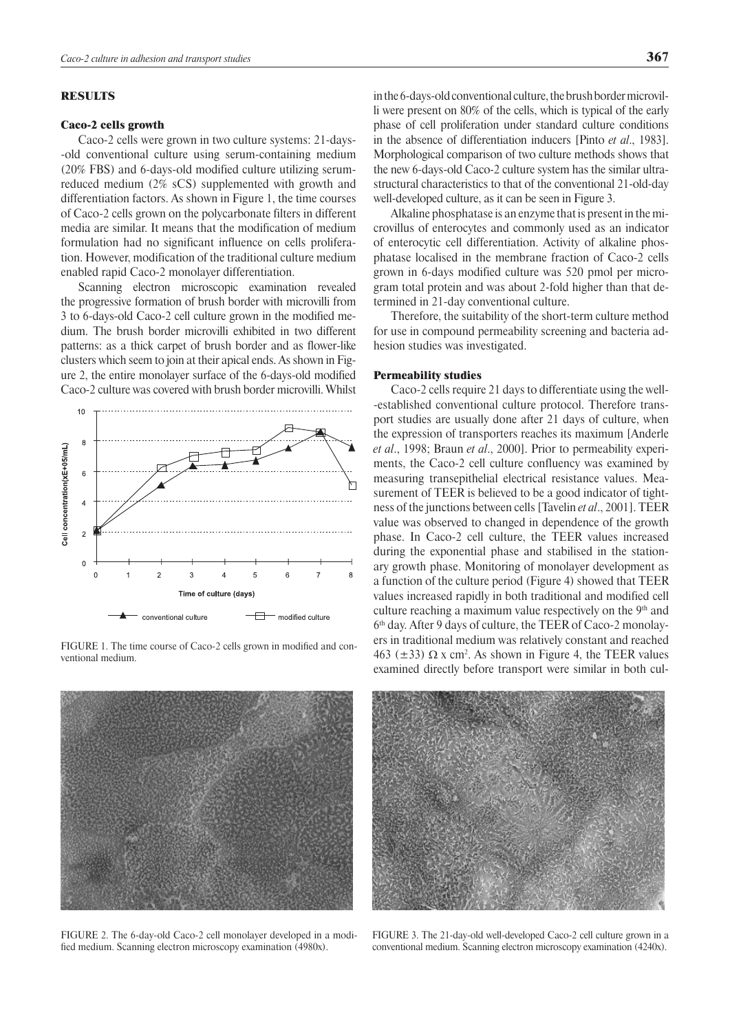# RESULTS

### Caco-2 cells growth

Caco-2 cells were grown in two culture systems: 21-daysold conventional culture using serum-containing medium (20% FBS) and 6-days-old modified culture utilizing serumreduced medium (2% sCS) supplemented with growth and differentiation factors. As shown in Figure 1, the time courses of Caco-2 cells grown on the polycarbonate filters in different media are similar. It means that the modification of medium formulation had no significant influence on cells proliferation. However, modification of the traditional culture medium enabled rapid Caco-2 monolayer differentiation.

Scanning electron microscopic examination revealed the progressive formation of brush border with microvilli from 3 to 6-days-old Caco-2 cell culture grown in the modified medium. The brush border microvilli exhibited in two different patterns: as a thick carpet of brush border and as flower-like clusters which seem to join at their apical ends. As shown in Figure 2, the entire monolayer surface of the 6-days-old modified Caco-2 culture was covered with brush border microvilli. Whilst



FIGURE 1. The time course of Caco-2 cells grown in modified and conventional medium.



FIGURE 2. The 6-day-old Caco-2 cell monolayer developed in a modified medium. Scanning electron microscopy examination (4980x).

in the 6-days-old conventional culture, the brush border microvilli were present on 80% of the cells, which is typical of the early phase of cell proliferation under standard culture conditions in the absence of differentiation inducers [Pinto *et al*., 1983]. Morphological comparison of two culture methods shows that the new 6-days-old Caco-2 culture system has the similar ultrastructural characteristics to that of the conventional 21-old-day well-developed culture, as it can be seen in Figure 3.

Alkaline phosphatase is an enzyme that is present in the microvillus of enterocytes and commonly used as an indicator of enterocytic cell differentiation. Activity of alkaline phosphatase localised in the membrane fraction of Caco-2 cells grown in 6-days modified culture was 520 pmol per microgram total protein and was about 2-fold higher than that determined in 21-day conventional culture.

Therefore, the suitability of the short-term culture method for use in compound permeability screening and bacteria adhesion studies was investigated.

### Permeability studies

Caco-2 cells require 21 days to differentiate using the wellestablished conventional culture protocol. Therefore transport studies are usually done after 21 days of culture, when the expression of transporters reaches its maximum [Anderle *et al*., 1998; Braun *et al*., 2000]. Prior to permeability experiments, the Caco-2 cell culture confluency was examined by measuring transepithelial electrical resistance values. Measurement of TEER is believed to be a good indicator of tightness of the junctions between cells [Tavelin *et al*., 2001]. TEER value was observed to changed in dependence of the growth phase. In Caco-2 cell culture, the TEER values increased during the exponential phase and stabilised in the stationary growth phase. Monitoring of monolayer development as a function of the culture period (Figure 4) showed that TEER values increased rapidly in both traditional and modified cell culture reaching a maximum value respectively on the  $9<sup>th</sup>$  and  $6<sup>th</sup>$  day. After 9 days of culture, the TEER of Caco-2 monolayers in traditional medium was relatively constant and reached 463 ( $\pm$ 33)  $\Omega$  x cm<sup>2</sup>. As shown in Figure 4, the TEER values examined directly before transport were similar in both cul-



Figure 3. The 21-day-old well-developed Caco-2 cell culture grown in a conventional medium. Scanning electron microscopy examination (4240x).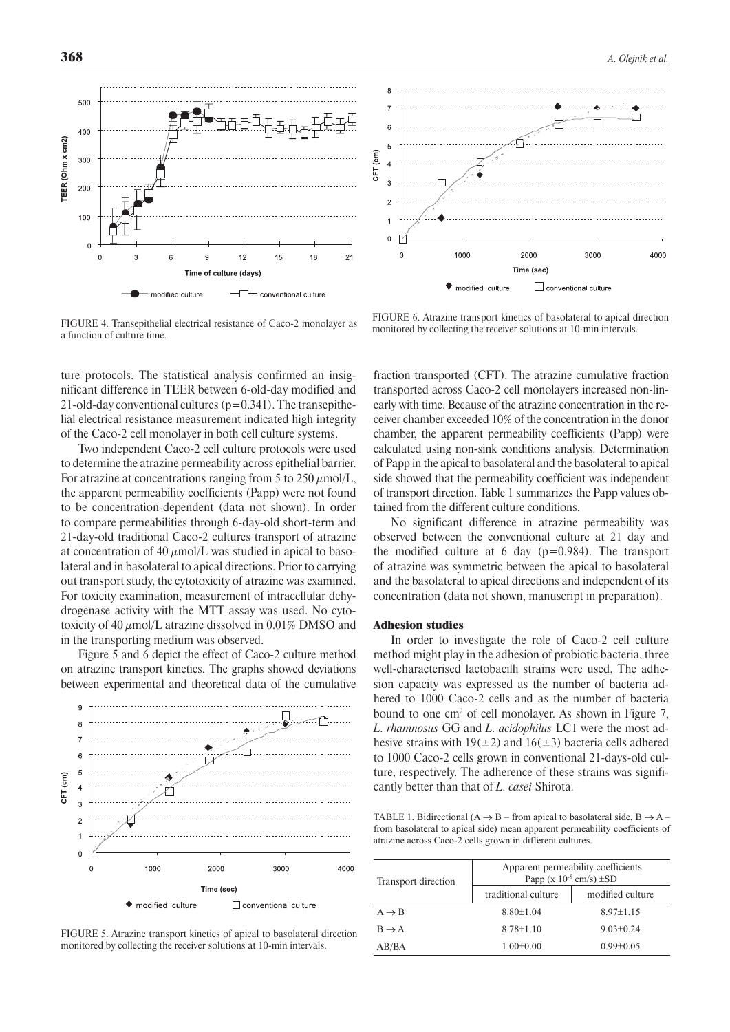500  $400$ TEER (Ohm x cm2)  $300$  $200$  $10<sub>0</sub>$  $\Omega$ 6 g  $12$  $21$  $\Omega$ 15 18 Time of culture (days) conventional culture modified culture 一



FIGURE 4. Transepithelial electrical resistance of Caco-2 monolayer as a function of culture time.

ture protocols. The statistical analysis confirmed an insignificant difference in TEER between 6-old-day modified and 21-old-day conventional cultures  $(p=0.341)$ . The transepithelial electrical resistance measurement indicated high integrity of the Caco-2 cell monolayer in both cell culture systems.

Two independent Caco-2 cell culture protocols were used to determine the atrazine permeability across epithelial barrier. For atrazine at concentrations ranging from 5 to 250  $\mu$ mol/L, the apparent permeability coefficients (Papp) were not found to be concentration-dependent (data not shown). In order to compare permeabilities through 6-day-old short-term and 21-day-old traditional Caco-2 cultures transport of atrazine at concentration of 40  $\mu$ mol/L was studied in apical to basolateral and in basolateral to apical directions. Prior to carrying out transport study, the cytotoxicity of atrazine was examined. For toxicity examination, measurement of intracellular dehydrogenase activity with the MTT assay was used. No cytotoxicity of 40  $\mu$ mol/L atrazine dissolved in 0.01% DMSO and in the transporting medium was observed.

Figure 5 and 6 depict the effect of Caco-2 culture method on atrazine transport kinetics. The graphs showed deviations between experimental and theoretical data of the cumulative



FIGURE 5. Atrazine transport kinetics of apical to basolateral direction monitored by collecting the receiver solutions at 10-min intervals.

FIGURE 6. Atrazine transport kinetics of basolateral to apical direction monitored by collecting the receiver solutions at 10-min intervals.

fraction transported (CFT). The atrazine cumulative fraction transported across Caco-2 cell monolayers increased non-linearly with time. Because of the atrazine concentration in the receiver chamber exceeded 10% of the concentration in the donor chamber, the apparent permeability coefficients (Papp) were calculated using non-sink conditions analysis. Determination of Papp in the apical to basolateral and the basolateral to apical side showed that the permeability coefficient was independent of transport direction. Table 1 summarizes the Papp values obtained from the different culture conditions.

No significant difference in atrazine permeability was observed between the conventional culture at 21 day and the modified culture at 6 day  $(p=0.984)$ . The transport of atrazine was symmetric between the apical to basolateral and the basolateral to apical directions and independent of its concentration (data not shown, manuscript in preparation).

# Adhesion studies

In order to investigate the role of Caco-2 cell culture method might play in the adhesion of probiotic bacteria, three well-characterised lactobacilli strains were used. The adhesion capacity was expressed as the number of bacteria adhered to 1000 Caco-2 cells and as the number of bacteria bound to one cm<sup>2</sup> of cell monolayer. As shown in Figure 7, *L. rhamnosus* GG and *L. acidophilus* LC1 were the most adhesive strains with  $19(\pm 2)$  and  $16(\pm 3)$  bacteria cells adhered to 1000 Caco-2 cells grown in conventional 21-days-old culture, respectively. The adherence of these strains was significantly better than that of *L. casei* Shirota.

TABLE 1. Bidirectional ( $A \rightarrow B$  – from apical to basolateral side,  $B \rightarrow A$  – from basolateral to apical side) mean apparent permeability coefficients of atrazine across Caco-2 cells grown in different cultures.

| Transport direction | Apparent permeability coefficients<br>Papp (x $10^{-5}$ cm/s) $\pm$ SD |                  |
|---------------------|------------------------------------------------------------------------|------------------|
|                     | traditional culture                                                    | modified culture |
| $A \rightarrow B$   | $8.80 + 1.04$                                                          | $8.97 + 1.15$    |
| $B \rightarrow A$   | $8.78 + 1.10$                                                          | $9.03+0.24$      |
| AB/BA               | $1.00 \pm 0.00$                                                        | $0.99 + 0.05$    |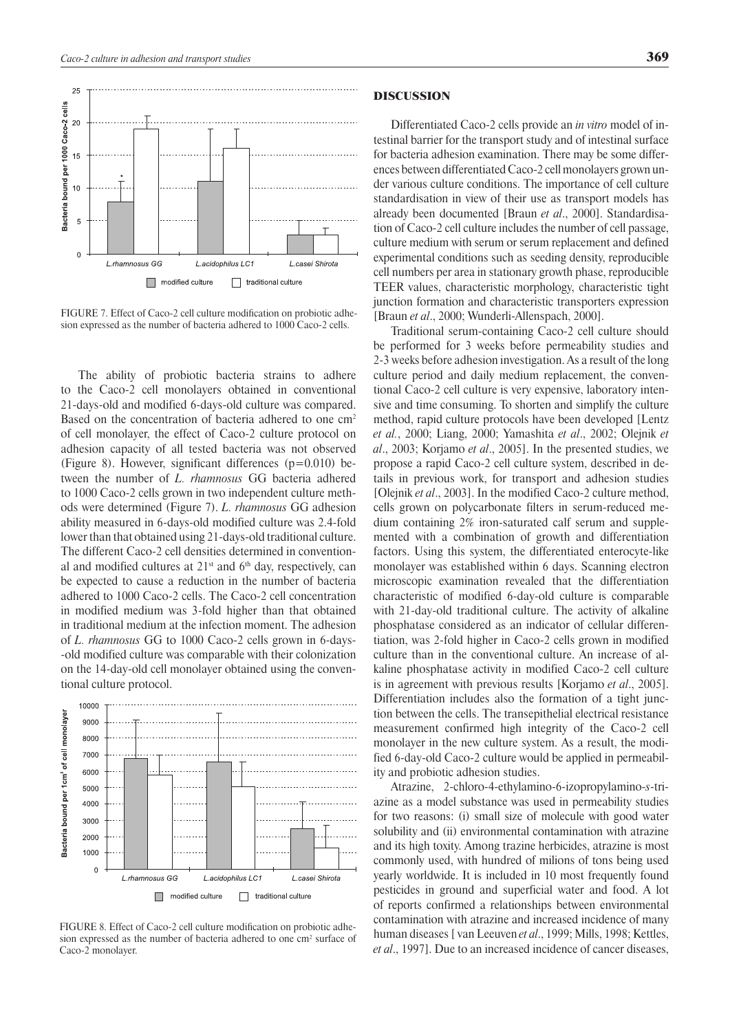

FIGURE 7. Effect of Caco-2 cell culture modification on probiotic adhesion expressed as the number of bacteria adhered to 1000 Caco-2 cells.

The ability of probiotic bacteria strains to adhere to the Caco-2 cell monolayers obtained in conventional 21-days-old and modified 6-days-old culture was compared. Based on the concentration of bacteria adhered to one cm<sup>2</sup> of cell monolayer, the effect of Caco-2 culture protocol on adhesion capacity of all tested bacteria was not observed (Figure 8). However, significant differences  $(p=0.010)$  between the number of *L. rhamnosus* GG bacteria adhered to 1000 Caco-2 cells grown in two independent culture methods were determined (Figure 7). *L. rhamnosus* GG adhesion ability measured in 6-days-old modified culture was 2.4-fold lower than that obtained using 21-days-old traditional culture. The different Caco-2 cell densities determined in conventional and modified cultures at  $21<sup>st</sup>$  and  $6<sup>th</sup>$  day, respectively, can be expected to cause a reduction in the number of bacteria adhered to 1000 Caco-2 cells. The Caco-2 cell concentration in modified medium was 3-fold higher than that obtained in traditional medium at the infection moment. The adhesion of *L. rhamnosus* GG to 1000 Caco-2 cells grown in 6-daysold modified culture was comparable with their colonization on the 14-day-old cell monolayer obtained using the conventional culture protocol.



FIGURE 8. Effect of Caco-2 cell culture modification on probiotic adhesion expressed as the number of bacteria adhered to one cm<sup>2</sup> surface of Caco-2 monolayer.

### DISCUSSION

Differentiated Caco-2 cells provide an *in vitro* model of intestinal barrier for the transport study and of intestinal surface for bacteria adhesion examination. There may be some differences between differentiated Caco-2 cell monolayers grown under various culture conditions. The importance of cell culture standardisation in view of their use as transport models has already been documented [Braun *et al*., 2000]. Standardisation of Caco-2 cell culture includes the number of cell passage, culture medium with serum or serum replacement and defined experimental conditions such as seeding density, reproducible cell numbers per area in stationary growth phase, reproducible TEER values, characteristic morphology, characteristic tight junction formation and characteristic transporters expression [Braun *et al*., 2000; Wunderli-Allenspach, 2000].

Traditional serum-containing Caco-2 cell culture should be performed for 3 weeks before permeability studies and 2-3 weeks before adhesion investigation. As a result of the long culture period and daily medium replacement, the conventional Caco-2 cell culture is very expensive, laboratory intensive and time consuming. To shorten and simplify the culture method, rapid culture protocols have been developed [Lentz *et al.*, 2000; Liang, 2000; Yamashita *et al*., 2002; Olejnik *et al*., 2003; Korjamo *et al*., 2005]. In the presented studies, we propose a rapid Caco-2 cell culture system, described in details in previous work, for transport and adhesion studies [Olejnik *et al*., 2003]. In the modified Caco-2 culture method, cells grown on polycarbonate filters in serum-reduced medium containing 2% iron-saturated calf serum and supplemented with a combination of growth and differentiation factors. Using this system, the differentiated enterocyte-like monolayer was established within 6 days. Scanning electron microscopic examination revealed that the differentiation characteristic of modified 6-day-old culture is comparable with 21-day-old traditional culture. The activity of alkaline phosphatase considered as an indicator of cellular differentiation, was 2-fold higher in Caco-2 cells grown in modified culture than in the conventional culture. An increase of alkaline phosphatase activity in modified Caco-2 cell culture is in agreement with previous results [Korjamo *et al*., 2005]. Differentiation includes also the formation of a tight junction between the cells. The transepithelial electrical resistance measurement confirmed high integrity of the Caco-2 cell monolayer in the new culture system. As a result, the modified 6-day-old Caco-2 culture would be applied in permeability and probiotic adhesion studies.

Atrazine, 2-chloro-4-ethylamino-6-izopropylamino-*s*-triazine as a model substance was used in permeability studies for two reasons: (i) small size of molecule with good water solubility and (ii) environmental contamination with atrazine and its high toxity. Among trazine herbicides, atrazine is most commonly used, with hundred of milions of tons being used yearly worldwide. It is included in 10 most frequently found pesticides in ground and superficial water and food. A lot of reports confirmed a relationships between environmental contamination with atrazine and increased incidence of many human diseases [ van Leeuven *et al*., 1999; Mills, 1998; Kettles, *et al*., 1997]. Due to an increased incidence of cancer diseases,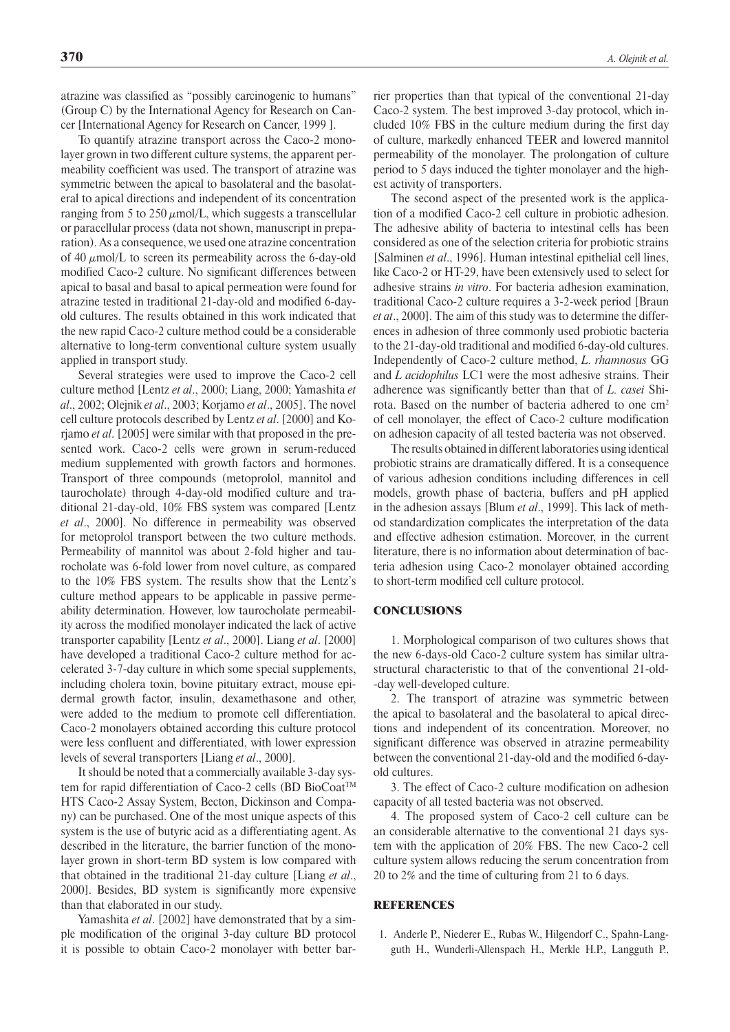atrazine was classified as "possibly carcinogenic to humans" (Group C) by the International Agency for Research on Cancer [International Agency for Research on Cancer, 1999 ].

To quantify atrazine transport across the Caco-2 monolayer grown in two different culture systems, the apparent permeability coefficient was used. The transport of atrazine was symmetric between the apical to basolateral and the basolateral to apical directions and independent of its concentration ranging from 5 to 250  $\mu$ mol/L, which suggests a transcellular or paracellular process (data not shown, manuscript in preparation). As a consequence, we used one atrazine concentration of 40  $\mu$ mol/L to screen its permeability across the 6-day-old modified Caco-2 culture. No significant differences between apical to basal and basal to apical permeation were found for atrazine tested in traditional 21-day-old and modified 6-dayold cultures. The results obtained in this work indicated that the new rapid Caco-2 culture method could be a considerable alternative to long-term conventional culture system usually applied in transport study.

Several strategies were used to improve the Caco-2 cell culture method [Lentz *et al*., 2000; Liang, 2000; Yamashita *et al*., 2002; Olejnik *et al*., 2003; Korjamo *et al*., 2005]. The novel cell culture protocols described by Lentz *et al*. [2000] and Korjamo *et al*. [2005] were similar with that proposed in the presented work. Caco-2 cells were grown in serum-reduced medium supplemented with growth factors and hormones. Transport of three compounds (metoprolol, mannitol and taurocholate) through 4-day-old modified culture and traditional 21-day-old, 10% FBS system was compared [Lentz *et al*., 2000]. No difference in permeability was observed for metoprolol transport between the two culture methods. Permeability of mannitol was about 2-fold higher and taurocholate was 6-fold lower from novel culture, as compared to the 10% FBS system. The results show that the Lentz's culture method appears to be applicable in passive permeability determination. However, low taurocholate permeability across the modified monolayer indicated the lack of active transporter capability [Lentz *et al*., 2000]. Liang *et al*. [2000] have developed a traditional Caco-2 culture method for accelerated 3-7-day culture in which some special supplements, including cholera toxin, bovine pituitary extract, mouse epidermal growth factor, insulin, dexamethasone and other, were added to the medium to promote cell differentiation. Caco-2 monolayers obtained according this culture protocol were less confluent and differentiated, with lower expression levels of several transporters [Liang *et al*., 2000].

It should be noted that a commercially available 3-day system for rapid differentiation of Caco-2 cells (BD BioCoat™ HTS Caco-2 Assay System, Becton, Dickinson and Company) can be purchased. One of the most unique aspects of this system is the use of butyric acid as a differentiating agent. As described in the literature, the barrier function of the monolayer grown in short-term BD system is low compared with that obtained in the traditional 21-day culture [Liang *et al*., 2000]. Besides, BD system is significantly more expensive than that elaborated in our study.

Yamashita *et al*. [2002] have demonstrated that by a simple modification of the original 3-day culture BD protocol it is possible to obtain Caco-2 monolayer with better barrier properties than that typical of the conventional 21-day Caco-2 system. The best improved 3-day protocol, which included 10% FBS in the culture medium during the first day of culture, markedly enhanced TEER and lowered mannitol permeability of the monolayer. The prolongation of culture period to 5 days induced the tighter monolayer and the highest activity of transporters.

The second aspect of the presented work is the application of a modified Caco-2 cell culture in probiotic adhesion. The adhesive ability of bacteria to intestinal cells has been considered as one of the selection criteria for probiotic strains [Salminen *et al*., 1996]. Human intestinal epithelial cell lines, like Caco-2 or HT-29, have been extensively used to select for adhesive strains *in vitro*. For bacteria adhesion examination, traditional Caco-2 culture requires a 3-2-week period [Braun *et at*., 2000]. The aim of this study was to determine the differences in adhesion of three commonly used probiotic bacteria to the 21-day-old traditional and modified 6-day-old cultures. Independently of Caco-2 culture method, *L. rhamnosus* GG and *L acidophilus* LC1 were the most adhesive strains. Their adherence was significantly better than that of *L. casei* Shirota. Based on the number of bacteria adhered to one cm<sup>2</sup> of cell monolayer, the effect of Caco-2 culture modification on adhesion capacity of all tested bacteria was not observed.

The results obtained in different laboratories using identical probiotic strains are dramatically differed. It is a consequence of various adhesion conditions including differences in cell models, growth phase of bacteria, buffers and pH applied in the adhesion assays [Blum *et al*., 1999]. This lack of method standardization complicates the interpretation of the data and effective adhesion estimation. Moreover, in the current literature, there is no information about determination of bacteria adhesion using Caco-2 monolayer obtained according to short-term modified cell culture protocol.

### **CONCLUSIONS**

1. Morphological comparison of two cultures shows that the new 6-days-old Caco-2 culture system has similar ultrastructural characteristic to that of the conventional 21-oldday well-developed culture.

2. The transport of atrazine was symmetric between the apical to basolateral and the basolateral to apical directions and independent of its concentration. Moreover, no significant difference was observed in atrazine permeability between the conventional 21-day-old and the modified 6-dayold cultures.

3. The effect of Caco-2 culture modification on adhesion capacity of all tested bacteria was not observed.

4. The proposed system of Caco-2 cell culture can be an considerable alternative to the conventional 21 days system with the application of 20% FBS. The new Caco-2 cell culture system allows reducing the serum concentration from 20 to 2% and the time of culturing from 21 to 6 days.

# **REFERENCES**

1. Anderle P., Niederer E., Rubas W., Hilgendorf C., Spahn-Langguth H., Wunderli-Allenspach H., Merkle H.P., Langguth P.,